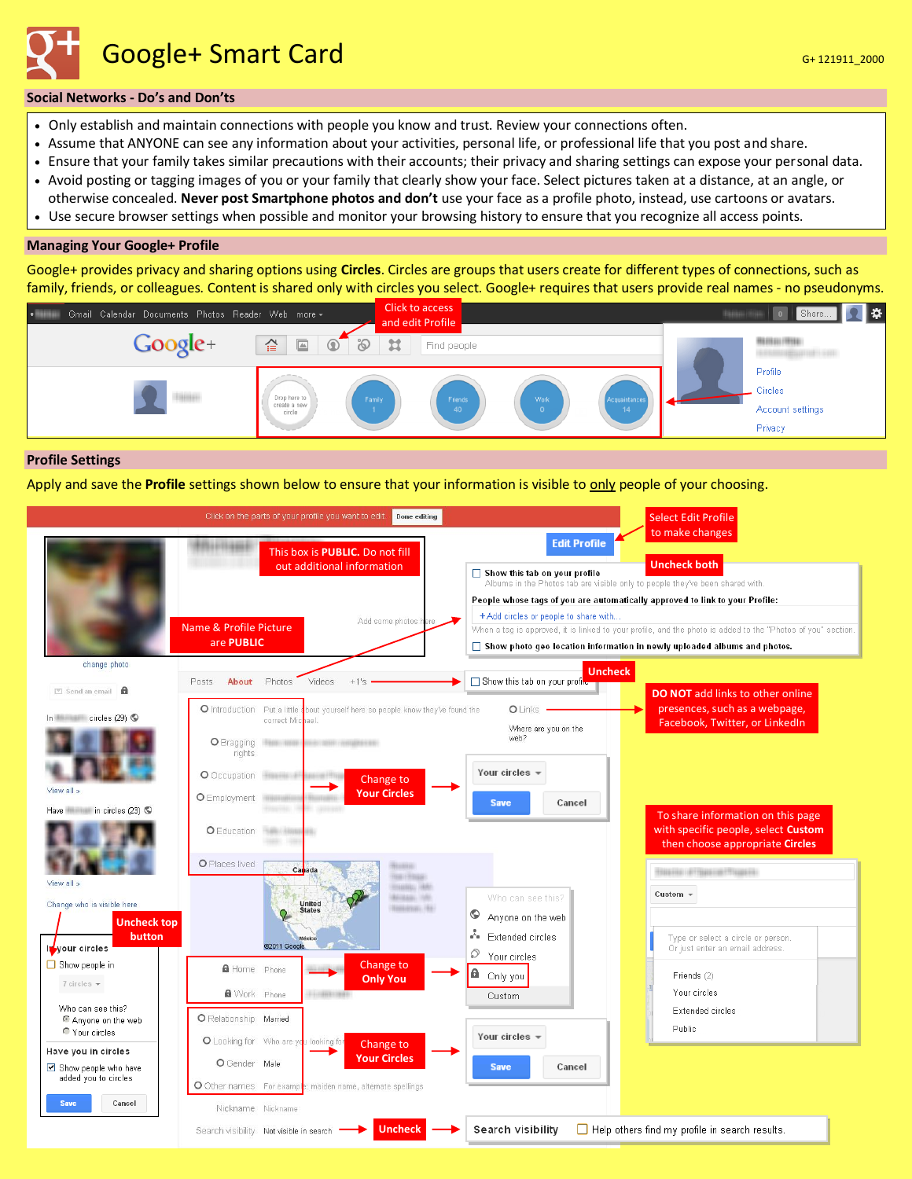Google+ Smart Card General General Card General Control of the Card General Control Control Control Control Co

## **Social Networks - Do's and Don'ts**

- Only establish and maintain connections with people you know and trust. Review your connections often.
- Assume that ANYONE can see any information about your activities, personal life, or professional life that you post and share.
- Ensure that your family takes similar precautions with their accounts; their privacy and sharing settings can expose your personal data.
- Avoid posting or tagging images of you or your family that clearly show your face. Select pictures taken at a distance, at an angle, or otherwise concealed. **Never post Smartphone photos and don't** use your face as a profile photo, instead, use cartoons or avatars.
- Use secure browser settings when possible and monitor your browsing history to ensure that you recognize all access points.

## **Managing Your Google+ Profile**

Google+ provides privacy and sharing options using **Circles**. Circles are groups that users create for different types of connections, such as family, friends, or colleagues. Content is shared only with circles you select. Google+ requires that users provide real names - no pseudonyms.



## **Profile Settings**

Apply and save the **Profile** settings shown below to ensure that your information is visible to only people of your choosing.